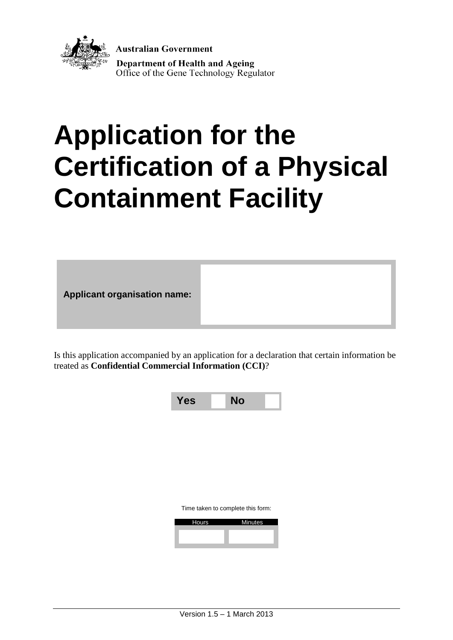

**Australian Government Department of Health and Ageing** Office of the Gene Technology Regulator

# **Application for the Certification of a Physical Containment Facility**

**Applicant organisation name:**

Is this application accompanied by an application for a declaration that certain information be treated as **Confidential Commercial Information (CCI)**?



Time taken to complete this form:

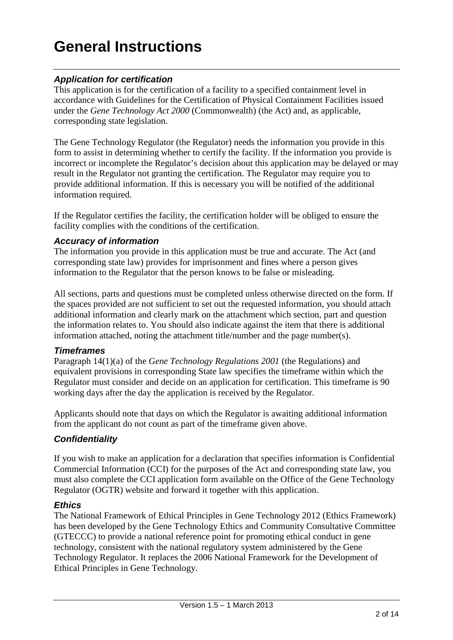# **General Instructions**

#### *Application for certification*

This application is for the certification of a facility to a specified containment level in accordance with Guidelines for the Certification of Physical Containment Facilities issued under the *Gene Technology Act 2000* (Commonwealth) (the Act) and, as applicable, corresponding state legislation.

The Gene Technology Regulator (the Regulator) needs the information you provide in this form to assist in determining whether to certify the facility. If the information you provide is incorrect or incomplete the Regulator's decision about this application may be delayed or may result in the Regulator not granting the certification. The Regulator may require you to provide additional information. If this is necessary you will be notified of the additional information required.

If the Regulator certifies the facility, the certification holder will be obliged to ensure the facility complies with the conditions of the certification.

#### *Accuracy of information*

The information you provide in this application must be true and accurate. The Act (and corresponding state law) provides for imprisonment and fines where a person gives information to the Regulator that the person knows to be false or misleading.

All sections, parts and questions must be completed unless otherwise directed on the form. If the spaces provided are not sufficient to set out the requested information, you should attach additional information and clearly mark on the attachment which section, part and question the information relates to. You should also indicate against the item that there is additional information attached, noting the attachment title/number and the page number(s).

#### *Timeframes*

Paragraph 14(1)(a) of the *Gene Technology Regulations 2001* (the Regulations) and equivalent provisions in corresponding State law specifies the timeframe within which the Regulator must consider and decide on an application for certification. This timeframe is 90 working days after the day the application is received by the Regulator.

Applicants should note that days on which the Regulator is awaiting additional information from the applicant do not count as part of the timeframe given above.

#### *Confidentiality*

If you wish to make an application for a declaration that specifies information is Confidential Commercial Information (CCI) for the purposes of the Act and corresponding state law, you must also complete the CCI application form available on the Office of the Gene Technology Regulator (OGTR) website and forward it together with this application.

#### *Ethics*

The National Framework of Ethical Principles in Gene Technology 2012 (Ethics Framework) has been developed by the Gene Technology Ethics and Community Consultative Committee (GTECCC) to provide a national reference point for promoting ethical conduct in gene technology, consistent with the national regulatory system administered by the Gene Technology Regulator. It replaces the 2006 National Framework for the Development of Ethical Principles in Gene Technology.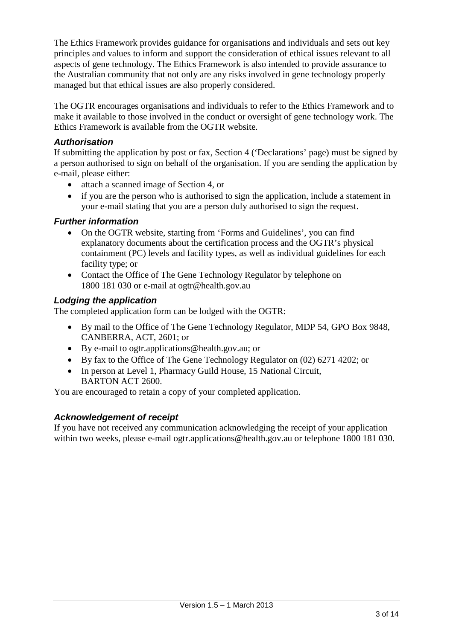The Ethics Framework provides guidance for organisations and individuals and sets out key principles and values to inform and support the consideration of ethical issues relevant to all aspects of gene technology. The Ethics Framework is also intended to provide assurance to the Australian community that not only are any risks involved in gene technology properly managed but that ethical issues are also properly considered.

The OGTR encourages organisations and individuals to refer to the Ethics Framework and to make it available to those involved in the conduct or oversight of gene technology work. The Ethics Framework is available from the OGTR website.

#### *Authorisation*

If submitting the application by post or fax, Section 4 ('Declarations' page) must be signed by a person authorised to sign on behalf of the organisation. If you are sending the application by e-mail, please either:

- attach a scanned image of Section 4, or
- if you are the person who is authorised to sign the application, include a statement in your e-mail stating that you are a person duly authorised to sign the request.

#### *Further information*

- On the OGTR website, starting from 'Forms and Guidelines', you can find explanatory documents about the certification process and the OGTR's physical containment (PC) levels and facility types, as well as individual guidelines for each facility type; or
- Contact the Office of The Gene Technology Regulator by telephone on 1800 181 030 or e-mail at ogtr@health.gov.au

#### *Lodging the application*

The completed application form can be lodged with the OGTR:

- By mail to the Office of The Gene Technology Regulator, MDP 54, GPO Box 9848, CANBERRA, ACT, 2601; or
- By e-mail to ogtr.applications@health.gov.au; or
- By fax to the Office of The Gene Technology Regulator on (02) 6271 4202; or
- In person at Level 1, Pharmacy Guild House, 15 National Circuit, BARTON ACT 2600.

You are encouraged to retain a copy of your completed application.

#### *Acknowledgement of receipt*

If you have not received any communication acknowledging the receipt of your application within two weeks, please e-mail ogtr.applications@health.gov.au or telephone 1800 181 030.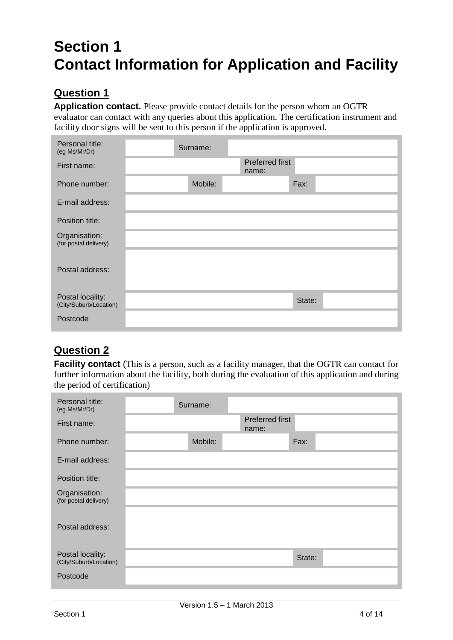# **Section 1 Contact Information for Application and Facility**

# **Question 1**

**Application contact.** Please provide contact details for the person whom an OGTR evaluator can contact with any queries about this application. The certification instrument and facility door signs will be sent to this person if the application is approved.

| Personal title:<br>(eg Ms/Mr/Dr)           | Surname: |                          |        |  |
|--------------------------------------------|----------|--------------------------|--------|--|
| First name:                                |          | Preferred first<br>name: |        |  |
| Phone number:                              | Mobile:  |                          | Fax:   |  |
| E-mail address:                            |          |                          |        |  |
| Position title:                            |          |                          |        |  |
| Organisation:<br>(for postal delivery)     |          |                          |        |  |
| Postal address:                            |          |                          |        |  |
| Postal locality:<br>(City/Suburb/Location) |          |                          | State: |  |
| Postcode                                   |          |                          |        |  |

# **Question 2**

**Facility contact** (This is a person, such as a facility manager, that the OGTR can contact for further information about the facility, both during the evaluation of this application and during the period of certification)

| Personal title:<br>(eg Ms/Mr/Dr)           | Surname: |                          |        |  |
|--------------------------------------------|----------|--------------------------|--------|--|
| First name:                                |          | Preferred first<br>name: |        |  |
| Phone number:                              | Mobile:  |                          | Fax:   |  |
| E-mail address:                            |          |                          |        |  |
| Position title:                            |          |                          |        |  |
| Organisation:<br>(for postal delivery)     |          |                          |        |  |
| Postal address:                            |          |                          |        |  |
|                                            |          |                          |        |  |
| Postal locality:<br>(City/Suburb/Location) |          |                          | State: |  |
| Postcode                                   |          |                          |        |  |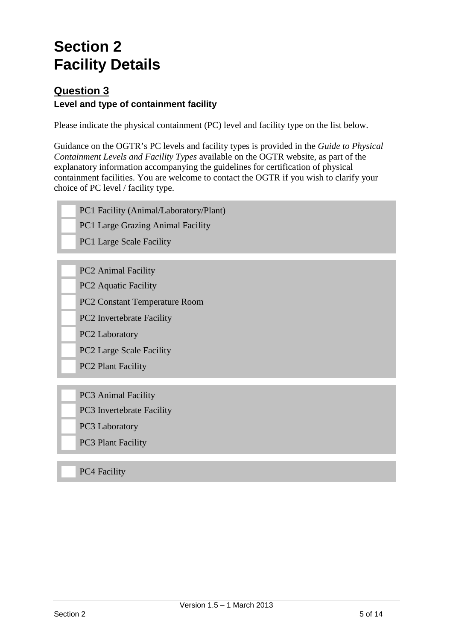# **Section 2 Facility Details**

#### **Question 3 Level and type of containment facility**

Please indicate the physical containment (PC) level and facility type on the list below.

Guidance on the OGTR's PC levels and facility types is provided in the *Guide to Physical Containment Levels and Facility Types* available on the OGTR website, as part of the explanatory information accompanying the guidelines for certification of physical containment facilities. You are welcome to contact the OGTR if you wish to clarify your choice of PC level / facility type.

- PC1 Facility (Animal/Laboratory/Plant)
- PC1 Large Grazing Animal Facility
- PC1 Large Scale Facility
- PC2 Animal Facility
- PC2 Aquatic Facility
- PC2 Constant Temperature Room
- PC2 Invertebrate Facility
- PC2 Laboratory
- PC2 Large Scale Facility
- PC2 Plant Facility
- PC3 Animal Facility
- PC3 Invertebrate Facility
- PC3 Laboratory
- PC3 Plant Facility

#### PC4 Facility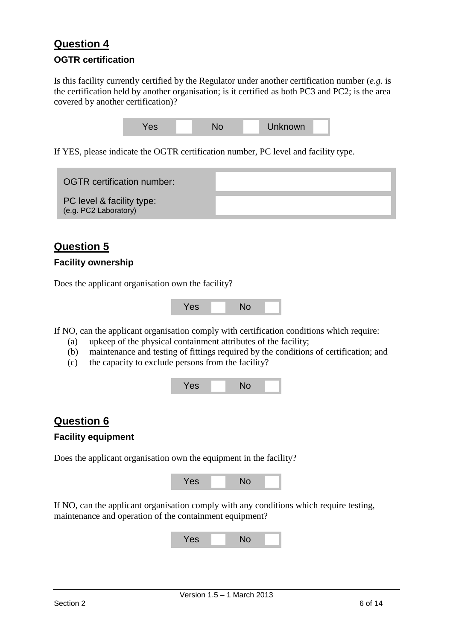# **Question 4**

#### **OGTR certification**

Is this facility currently certified by the Regulator under another certification number (*e.g.* is the certification held by another organisation; is it certified as both PC3 and PC2; is the area covered by another certification)?



If YES, please indicate the OGTR certification number, PC level and facility type.

| <b>OGTR</b> certification number:                  |  |
|----------------------------------------------------|--|
| PC level & facility type:<br>(e.g. PC2 Laboratory) |  |

#### **Question 5**

#### **Facility ownership**

Does the applicant organisation own the facility?



If NO, can the applicant organisation comply with certification conditions which require:

- (a) upkeep of the physical containment attributes of the facility;
- (b) maintenance and testing of fittings required by the conditions of certification; and
- (c) the capacity to exclude persons from the facility?



#### **Question 6**

#### **Facility equipment**

Does the applicant organisation own the equipment in the facility?



If NO, can the applicant organisation comply with any conditions which require testing, maintenance and operation of the containment equipment?

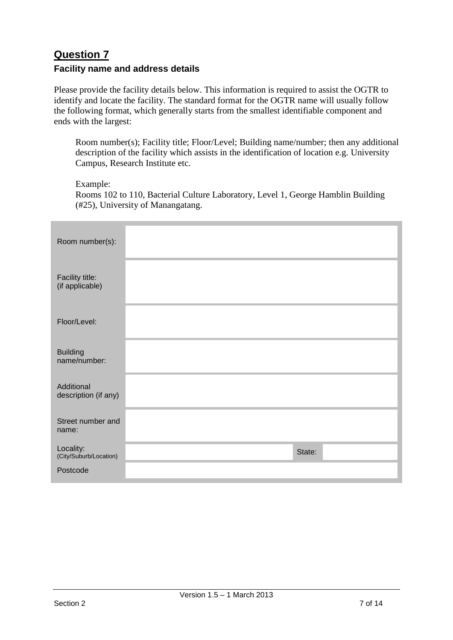# **Question 7**

#### **Facility name and address details**

Please provide the facility details below. This information is required to assist the OGTR to identify and locate the facility. The standard format for the OGTR name will usually follow the following format, which generally starts from the smallest identifiable component and ends with the largest:

Room number(s); Facility title; Floor/Level; Building name/number; then any additional description of the facility which assists in the identification of location e.g. University Campus, Research Institute etc.

Example:

Rooms 102 to 110, Bacterial Culture Laboratory, Level 1, George Hamblin Building (#25), University of Manangatang.

| Room number(s):                     |        |
|-------------------------------------|--------|
| Facility title:<br>(if applicable)  |        |
| Floor/Level:                        |        |
| <b>Building</b><br>name/number:     |        |
| Additional<br>description (if any)  |        |
| Street number and<br>name:          |        |
| Locality:<br>(City/Suburb/Location) | State: |
| Postcode                            |        |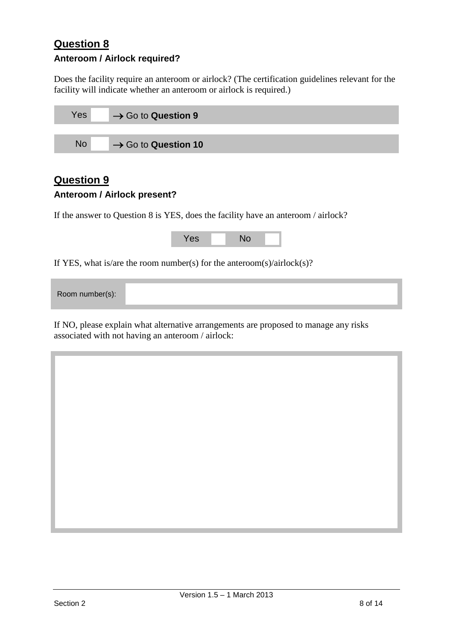### **Question 8 Anteroom / Airlock required?**

Does the facility require an anteroom or airlock? (The certification guidelines relevant for the facility will indicate whether an anteroom or airlock is required.)

| Yes       | $\rightarrow$ Go to Question 9  |
|-----------|---------------------------------|
|           |                                 |
| <b>No</b> | $\rightarrow$ Go to Question 10 |

### **Question 9 Anteroom / Airlock present?**

If the answer to Question 8 is YES, does the facility have an anteroom / airlock?

|                                                                        | Yes | <b>No</b> |  |  |  |
|------------------------------------------------------------------------|-----|-----------|--|--|--|
| If YES, what is/are the room number(s) for the anteroom(s)/airlock(s)? |     |           |  |  |  |
| Room number(s):                                                        |     |           |  |  |  |

If NO, please explain what alternative arrangements are proposed to manage any risks associated with not having an anteroom / airlock: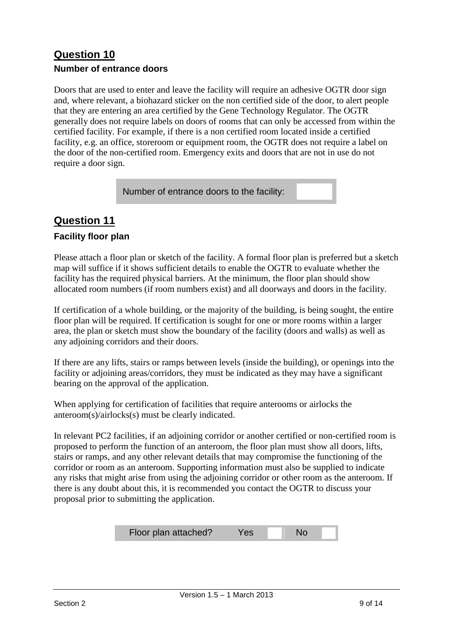### **Question 10 Number of entrance doors**

Doors that are used to enter and leave the facility will require an adhesive OGTR door sign and, where relevant, a biohazard sticker on the non certified side of the door, to alert people that they are entering an area certified by the Gene Technology Regulator. The OGTR generally does not require labels on doors of rooms that can only be accessed from within the certified facility. For example, if there is a non certified room located inside a certified facility, e.g. an office, storeroom or equipment room, the OGTR does not require a label on the door of the non-certified room. Emergency exits and doors that are not in use do not require a door sign.

Number of entrance doors to the facility:

# **Question 11**

#### **Facility floor plan**

Please attach a floor plan or sketch of the facility. A formal floor plan is preferred but a sketch map will suffice if it shows sufficient details to enable the OGTR to evaluate whether the facility has the required physical barriers. At the minimum, the floor plan should show allocated room numbers (if room numbers exist) and all doorways and doors in the facility.

If certification of a whole building, or the majority of the building, is being sought, the entire floor plan will be required. If certification is sought for one or more rooms within a larger area, the plan or sketch must show the boundary of the facility (doors and walls) as well as any adjoining corridors and their doors.

If there are any lifts, stairs or ramps between levels (inside the building), or openings into the facility or adjoining areas/corridors, they must be indicated as they may have a significant bearing on the approval of the application.

When applying for certification of facilities that require anterooms or airlocks the anteroom(s)/airlocks(s) must be clearly indicated.

In relevant PC2 facilities, if an adjoining corridor or another certified or non-certified room is proposed to perform the function of an anteroom, the floor plan must show all doors, lifts, stairs or ramps, and any other relevant details that may compromise the functioning of the corridor or room as an anteroom. Supporting information must also be supplied to indicate any risks that might arise from using the adjoining corridor or other room as the anteroom. If there is any doubt about this, it is recommended you contact the OGTR to discuss your proposal prior to submitting the application.

| Floor plan attached? | <b>Yes</b> | -No |  |
|----------------------|------------|-----|--|
|----------------------|------------|-----|--|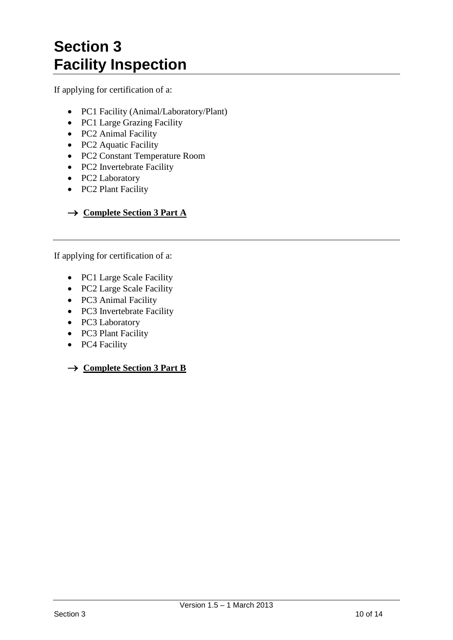# **Section 3 Facility Inspection**

If applying for certification of a:

- PC1 Facility (Animal/Laboratory/Plant)
- PC1 Large Grazing Facility
- PC2 Animal Facility
- PC2 Aquatic Facility
- PC2 Constant Temperature Room
- PC2 Invertebrate Facility
- PC2 Laboratory
- PC2 Plant Facility

#### → **Complete Section 3 Part A**

If applying for certification of a:

- PC1 Large Scale Facility
- PC2 Large Scale Facility
- PC3 Animal Facility
- PC3 Invertebrate Facility
- PC3 Laboratory
- PC3 Plant Facility
- PC4 Facility

→ **Complete Section 3 Part B**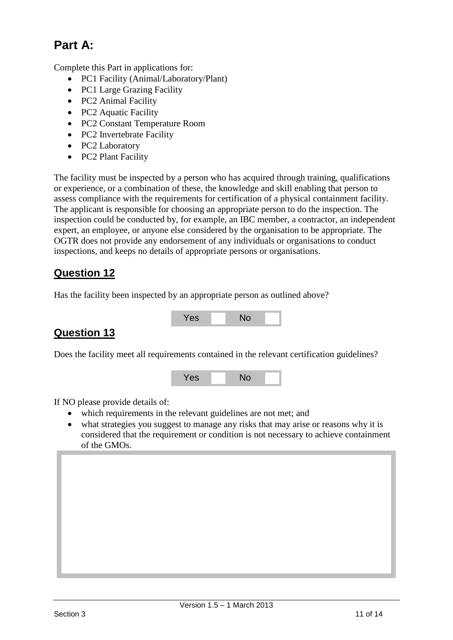# **Part A:**

Complete this Part in applications for:

- PC1 Facility (Animal/Laboratory/Plant)
- PC1 Large Grazing Facility
- PC2 Animal Facility
- PC2 Aquatic Facility
- PC2 Constant Temperature Room
- PC2 Invertebrate Facility
- PC2 Laboratory
- PC2 Plant Facility

The facility must be inspected by a person who has acquired through training, qualifications or experience, or a combination of these, the knowledge and skill enabling that person to assess compliance with the requirements for certification of a physical containment facility. The applicant is responsible for choosing an appropriate person to do the inspection. The inspection could be conducted by, for example, an IBC member, a contractor, an independent expert, an employee, or anyone else considered by the organisation to be appropriate. The OGTR does not provide any endorsement of any individuals or organisations to conduct inspections, and keeps no details of appropriate persons or organisations.

### **Question 12**

Has the facility been inspected by an appropriate person as outlined above?

# **Question 13**

Does the facility meet all requirements contained in the relevant certification guidelines?

Yes No



If NO please provide details of:

- which requirements in the relevant guidelines are not met; and
- what strategies you suggest to manage any risks that may arise or reasons why it is considered that the requirement or condition is not necessary to achieve containment of the GMOs.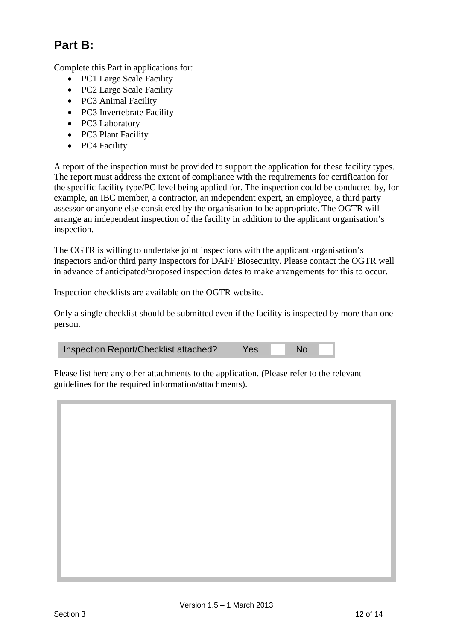# **Part B:**

Complete this Part in applications for:

- PC1 Large Scale Facility
- PC2 Large Scale Facility
- PC3 Animal Facility
- PC3 Invertebrate Facility
- PC3 Laboratory
- PC3 Plant Facility
- PC4 Facility

A report of the inspection must be provided to support the application for these facility types. The report must address the extent of compliance with the requirements for certification for the specific facility type/PC level being applied for. The inspection could be conducted by, for example, an IBC member, a contractor, an independent expert, an employee, a third party assessor or anyone else considered by the organisation to be appropriate. The OGTR will arrange an independent inspection of the facility in addition to the applicant organisation's inspection.

The OGTR is willing to undertake joint inspections with the applicant organisation's inspectors and/or third party inspectors for DAFF Biosecurity. Please contact the OGTR well in advance of anticipated/proposed inspection dates to make arrangements for this to occur.

Inspection checklists are available on the OGTR website.

Only a single checklist should be submitted even if the facility is inspected by more than one person.

| Inspection Report/Checklist attached? | Yes | <b>No</b> |  |
|---------------------------------------|-----|-----------|--|
|---------------------------------------|-----|-----------|--|

Please list here any other attachments to the application. (Please refer to the relevant guidelines for the required information/attachments).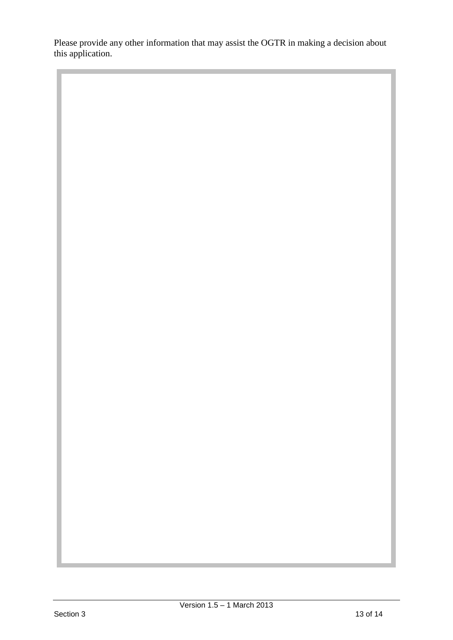Please provide any other information that may assist the OGTR in making a decision about this application.